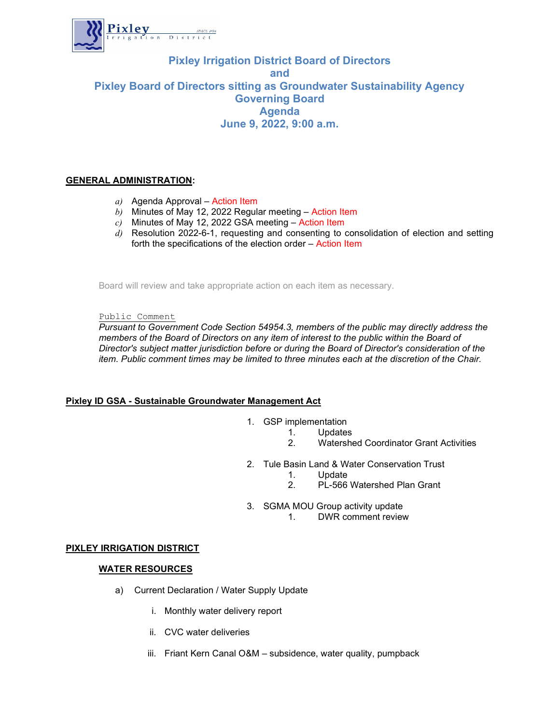

# Pixley Irrigation District Board of Directors and Pixley Board of Directors sitting as Groundwater Sustainability Agency Governing Board Agenda June 9, 2022, 9:00 a.m.

### GENERAL ADMINISTRATION:

- $a)$  Agenda Approval Action Item
- $\overline{b}$ ) Minutes of May 12, 2022 Regular meeting Action Item
- $c)$  Minutes of May 12, 2022 GSA meeting Action Item
- $\overline{d}$ ) Resolution 2022-6-1, requesting and consenting to consolidation of election and setting forth the specifications of the election order – Action Item

Board will review and take appropriate action on each item as necessary.

Public Comment

Pursuant to Government Code Section 54954.3, members of the public may directly address the members of the Board of Directors on any item of interest to the public within the Board of Director's subject matter jurisdiction before or during the Board of Director's consideration of the item. Public comment times may be limited to three minutes each at the discretion of the Chair.

### Pixley ID GSA - Sustainable Groundwater Management Act

- 1. GSP implementation
	- 1. Updates<br>2. Watershe
		- 2. Watershed Coordinator Grant Activities
- 2. Tule Basin Land & Water Conservation Trust
	- 1. Update
	- 2. PL-566 Watershed Plan Grant
- 3. SGMA MOU Group activity update
	- 1. DWR comment review

### PIXLEY IRRIGATION DISTRICT

### WATER RESOURCES

- a) Current Declaration / Water Supply Update
	- i. Monthly water delivery report
	- ii. CVC water deliveries
	- iii. Friant Kern Canal O&M subsidence, water quality, pumpback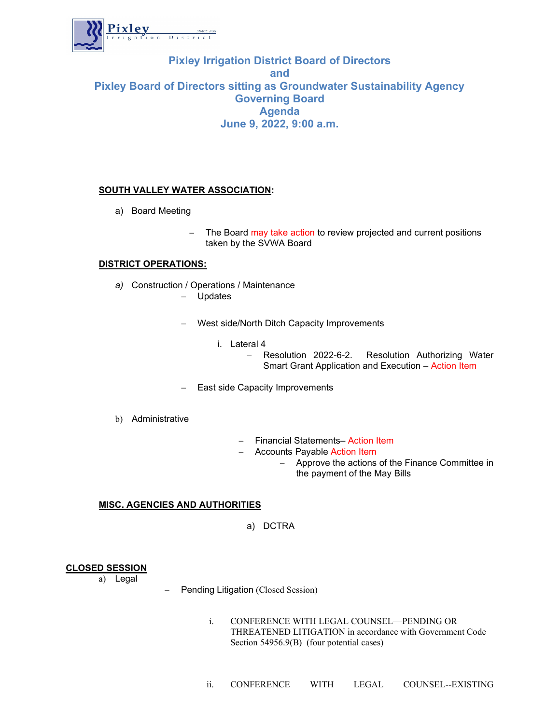

## Pixley Irrigation District Board of Directors and Pixley Board of Directors sitting as Groundwater Sustainability Agency Governing Board Agenda June 9, 2022, 9:00 a.m.

### SOUTH VALLEY WATER ASSOCIATION:

- a) Board Meeting
	- The Board may take action to review projected and current positions taken by the SVWA Board

#### DISTRICT OPERATIONS:

- a) Construction / Operations / Maintenance Updates
	-
	- West side/North Ditch Capacity Improvements
		- i. Lateral 4
			- Resolution 2022-6-2. Resolution Authorizing Water Smart Grant Application and Execution – Action Item
	- East side Capacity Improvements
- b) Administrative
- Financial Statements- Action Item
- Accounts Payable Action Item
	- Approve the actions of the Finance Committee in the payment of the May Bills

### MISC. AGENCIES AND AUTHORITIES

a) DCTRA

### CLOSED SESSION

a) Legal

- Pending Litigation (Closed Session)
	- i. CONFERENCE WITH LEGAL COUNSEL—PENDING OR THREATENED LITIGATION in accordance with Government Code Section 54956.9(B) (four potential cases)